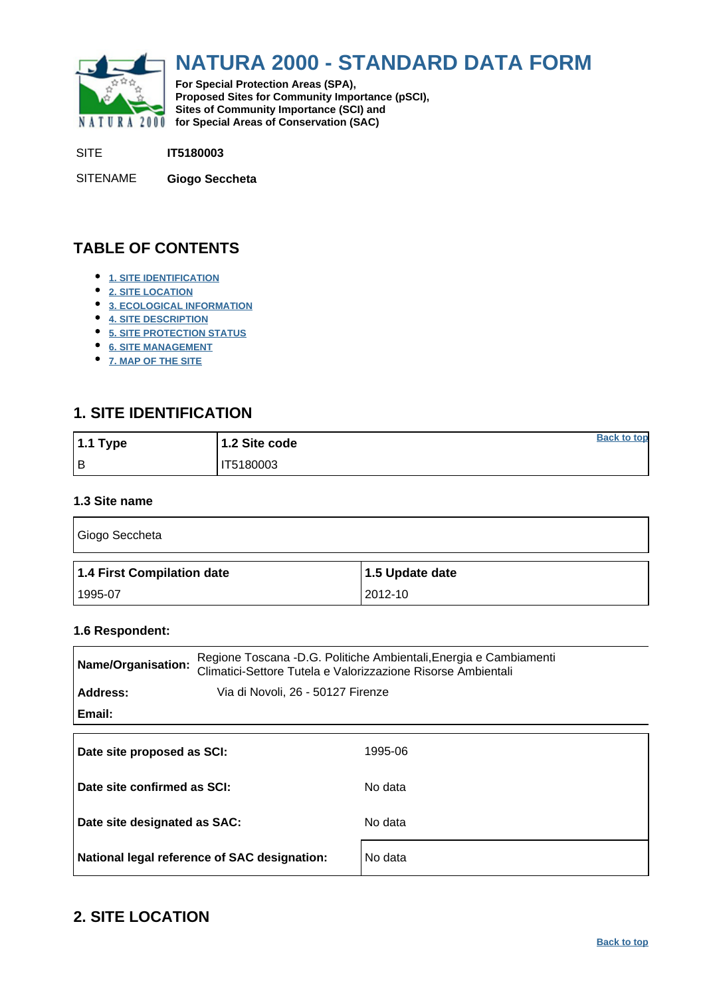<span id="page-0-0"></span>

# **NATURA 2000 - STANDARD DATA FORM**

**For Special Protection Areas (SPA), Proposed Sites for Community Importance (pSCI), Sites of Community Importance (SCI) and NATURA 2000** for Special Areas of Conservation (SAC)

SITE **IT5180003**

SITENAME **Giogo Seccheta**

# **TABLE OF CONTENTS**

- **[1. SITE IDENTIFICATION](#page-0-1)**
- **[2. SITE LOCATION](#page-0-2)**
- **[3. ECOLOGICAL INFORMATION](#page-1-0)**
- **[4. SITE DESCRIPTION](#page-3-0)**
- **[5. SITE PROTECTION STATUS](#page-4-0)**
- **[6. SITE MANAGEMENT](#page-4-1)**
- **[7. MAP OF THE SITE](#page-5-0)**

# <span id="page-0-1"></span>**1. SITE IDENTIFICATION**

| $1.1$ Type | 1.2 Site code | <b>Back to top</b> |
|------------|---------------|--------------------|
| l B        | IT5180003     |                    |

### **1.3 Site name**

| Giogo Seccheta             |                 |
|----------------------------|-----------------|
| 1.4 First Compilation date | 1.5 Update date |
| 1995-07                    | 2012-10         |

#### **1.6 Respondent:**

| Name/Organisation:                           | Regione Toscana -D.G. Politiche Ambientali, Energia e Cambiamenti<br>Climatici-Settore Tutela e Valorizzazione Risorse Ambientali |  |  |  |  |  |  |  |
|----------------------------------------------|-----------------------------------------------------------------------------------------------------------------------------------|--|--|--|--|--|--|--|
| Address:                                     | Via di Novoli, 26 - 50127 Firenze                                                                                                 |  |  |  |  |  |  |  |
| Email:                                       |                                                                                                                                   |  |  |  |  |  |  |  |
|                                              |                                                                                                                                   |  |  |  |  |  |  |  |
| Date site proposed as SCI:                   | 1995-06                                                                                                                           |  |  |  |  |  |  |  |
| Date site confirmed as SCI:                  | No data                                                                                                                           |  |  |  |  |  |  |  |
| Date site designated as SAC:                 | No data                                                                                                                           |  |  |  |  |  |  |  |
| National legal reference of SAC designation: | No data                                                                                                                           |  |  |  |  |  |  |  |

# <span id="page-0-2"></span>**2. SITE LOCATION**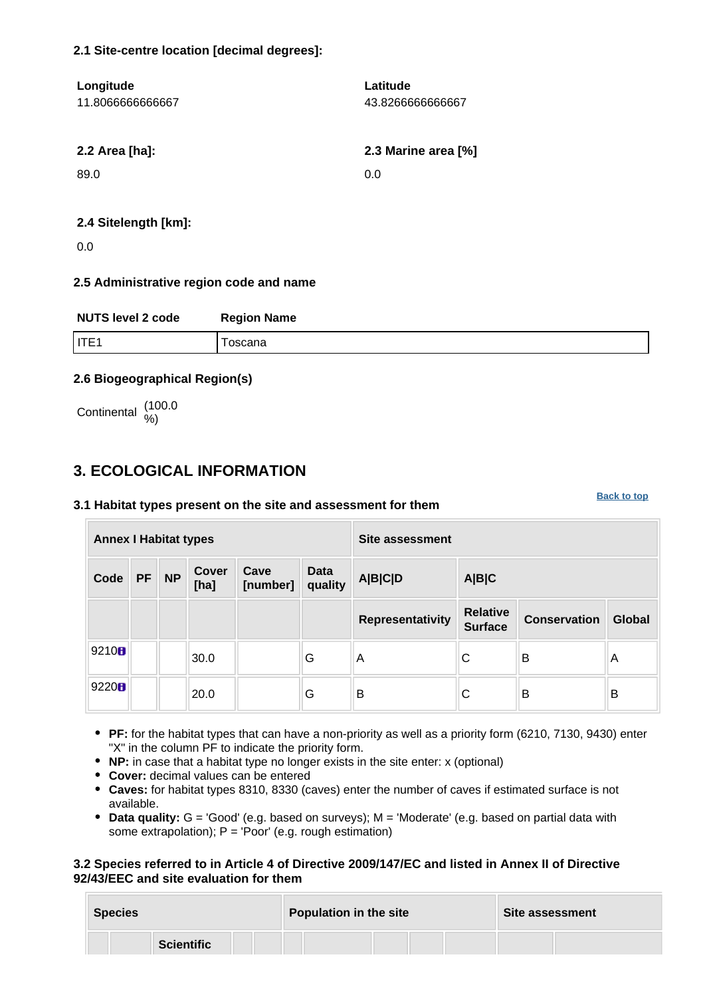### **2.1 Site-centre location [decimal degrees]:**

| Longitude        | Latitude            |
|------------------|---------------------|
| 11.8066666666667 | 43.826666666667     |
|                  |                     |
| 2.2 Area [ha]:   | 2.3 Marine area [%] |
| 89.0             | 0.0                 |
|                  |                     |
|                  |                     |

#### **2.4 Sitelength [km]:**

0.0

### **2.5 Administrative region code and name**

| <b>NUTS level 2 code</b> | <b>Region Name</b> |
|--------------------------|--------------------|
| I ITE1                   | oscana             |

### **2.6 Biogeographical Region(s)**

Continental (100.0

# <span id="page-1-0"></span>**3. ECOLOGICAL INFORMATION**

#### **3.1 Habitat types present on the site and assessment for them**

**Annex I Habitat types Site assessment Code PF NP Cover [ha] Cave [number] Data quality A|B|C|D A|B|C Representativity Relative Surface Conservation Global** 9210  $\begin{array}{|c|c|c|c|c|}\n\hline\n & & 30.0 & \quad\quad & \text{G} & \text{A} & \text{C} & \text{B} & \text{A} \end{array}$ <sup>9220</sup> 20.0 G B C B B

- **PF:** for the habitat types that can have a non-priority as well as a priority form (6210, 7130, 9430) enter "X" in the column PF to indicate the priority form.
- **NP:** in case that a habitat type no longer exists in the site enter: x (optional)
- **Cover:** decimal values can be entered
- **Caves:** for habitat types 8310, 8330 (caves) enter the number of caves if estimated surface is not available.
- **Data quality:** G = 'Good' (e.g. based on surveys); M = 'Moderate' (e.g. based on partial data with some extrapolation);  $P = 'Poor'$  (e.g. rough estimation)

### **3.2 Species referred to in Article 4 of Directive 2009/147/EC and listed in Annex II of Directive 92/43/EEC and site evaluation for them**

| <b>Species</b> |                   |  | <b>Population in the site</b> |  |  |  |  | <b>Site assessment</b> |  |  |
|----------------|-------------------|--|-------------------------------|--|--|--|--|------------------------|--|--|
|                | <b>Scientific</b> |  |                               |  |  |  |  |                        |  |  |

#### **[Back to top](#page-0-0)**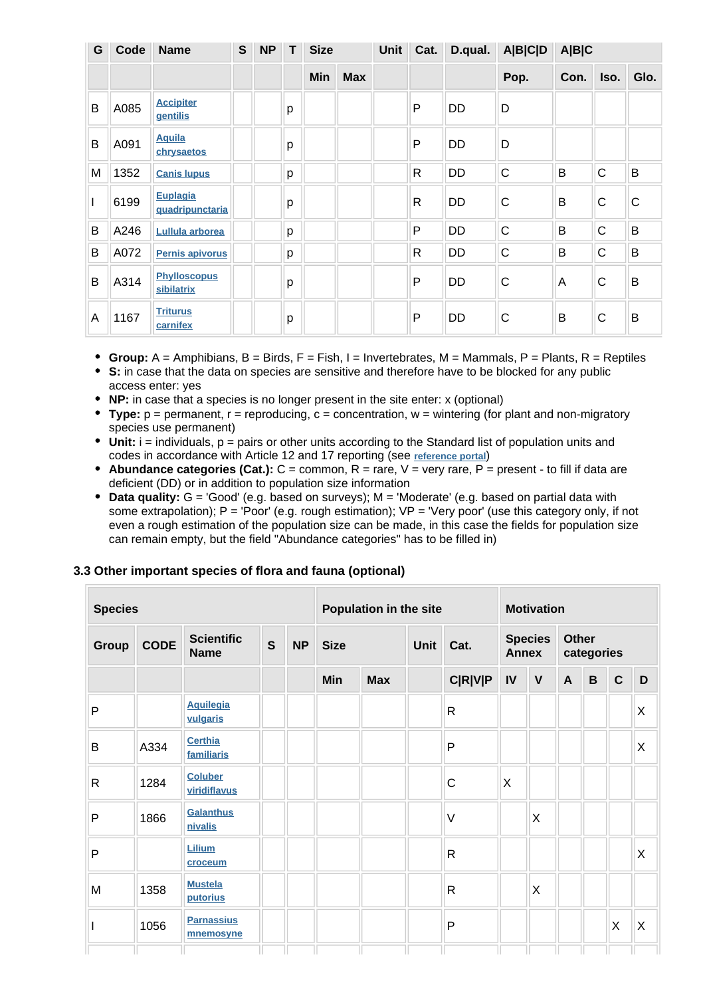| G | Code | <b>Name</b>                         | $\mathbf{s}$ | <b>NP</b> | T. | <b>Size</b> |            | Unit | Cat.         | D.qual.   | <b>A B C D</b> | A B C |              |      |
|---|------|-------------------------------------|--------------|-----------|----|-------------|------------|------|--------------|-----------|----------------|-------|--------------|------|
|   |      |                                     |              |           |    | Min         | <b>Max</b> |      |              |           | Pop.           | Con.  | Iso.         | Glo. |
| B | A085 | <b>Accipiter</b><br><b>gentilis</b> |              |           | p  |             |            |      | P            | DD        | D              |       |              |      |
| B | A091 | <b>Aquila</b><br>chrysaetos         |              |           | p  |             |            |      | P            | DD        | D              |       |              |      |
| M | 1352 | <b>Canis lupus</b>                  |              |           | p  |             |            |      | $\mathsf{R}$ | DD        | C              | B     | C            | B    |
|   | 6199 | Euplagia<br>quadripunctaria         |              |           | p  |             |            |      | R            | DD        | C              | B     | $\mathsf{C}$ | C    |
| B | A246 | Lullula arborea                     |              |           | p  |             |            |      | P            | <b>DD</b> | $\mathsf{C}$   | B     | $\mathsf{C}$ | B    |
| B | A072 | Pernis apivorus                     |              |           | p  |             |            |      | R            | DD        | $\mathsf C$    | B     | $\mathsf{C}$ | B    |
| B | A314 | <b>Phylloscopus</b><br>sibilatrix   |              |           | p  |             |            |      | P            | DD        | $\mathsf{C}$   | Α     | C            | B    |
| A | 1167 | <b>Triturus</b><br>carnifex         |              |           | p  |             |            |      | P            | DD        | $\mathsf{C}$   | B     | $\mathsf{C}$ | B    |

- **Group:**  $A =$  Amphibians,  $B =$  Birds,  $F =$  Fish,  $I =$  Invertebrates,  $M =$  Mammals,  $P =$  Plants,  $R =$  Reptiles
- **S:** in case that the data on species are sensitive and therefore have to be blocked for any public access enter: yes
- **NP:** in case that a species is no longer present in the site enter: x (optional)
- **Type:** p = permanent, r = reproducing, c = concentration, w = wintering (for plant and non-migratory species use permanent)
- $\bullet$  Unit: i = individuals,  $p =$  pairs or other units according to the Standard list of population units and codes in accordance with Article 12 and 17 reporting (see **[reference portal](http://bd.eionet.europa.eu/activities/Natura_2000/reference_portal)**)
- **Abundance categories (Cat.):** C = common, R = rare, V = very rare, P = present to fill if data are deficient (DD) or in addition to population size information
- **Data quality:** G = 'Good' (e.g. based on surveys); M = 'Moderate' (e.g. based on partial data with some extrapolation);  $P = Poor'$  (e.g. rough estimation);  $VP = Verv$  poor' (use this category only, if not even a rough estimation of the population size can be made, in this case the fields for population size can remain empty, but the field "Abundance categories" has to be filled in)

#### **3.3 Other important species of flora and fauna (optional)**

| <b>Species</b> |             |                                  | Population in the site |           |             | <b>Motivation</b> |  |                |    |              |             |             |              |                                |                            |  |  |  |
|----------------|-------------|----------------------------------|------------------------|-----------|-------------|-------------------|--|----------------|----|--------------|-------------|-------------|--------------|--------------------------------|----------------------------|--|--|--|
| <b>Group</b>   | <b>CODE</b> | <b>Scientific</b><br><b>Name</b> | $\mathbf{s}$           | <b>NP</b> | <b>Size</b> |                   |  |                |    |              | <b>Unit</b> | Cat.        |              | <b>Species</b><br><b>Annex</b> | <b>Other</b><br>categories |  |  |  |
|                |             |                                  |                        |           | <b>Min</b>  | <b>Max</b>        |  | <b>C R V P</b> | IV | $\mathsf{V}$ | A           | $\mathbf B$ | $\mathbf{C}$ | D                              |                            |  |  |  |
| $\mathsf{P}$   |             | <b>Aquilegia</b><br>vulgaris     |                        |           |             |                   |  | $\mathsf{R}$   |    |              |             |             |              | X                              |                            |  |  |  |
| B              | A334        | <b>Certhia</b><br>familiaris     |                        |           |             |                   |  | P              |    |              |             |             |              | $\sf X$                        |                            |  |  |  |
| $\mathsf{R}$   | 1284        | <b>Coluber</b><br>viridiflavus   |                        |           |             |                   |  | $\mathsf{C}$   | X  |              |             |             |              |                                |                            |  |  |  |
| P              | 1866        | Galanthus<br>nivalis             |                        |           |             |                   |  | $\vee$         |    | $\times$     |             |             |              |                                |                            |  |  |  |
| $\mathsf{P}$   |             | Lilium<br>croceum                |                        |           |             |                   |  | $\mathsf{R}$   |    |              |             |             |              | X                              |                            |  |  |  |
| M              | 1358        | <b>Mustela</b><br>putorius       |                        |           |             |                   |  | $\mathsf{R}$   |    | $\times$     |             |             |              |                                |                            |  |  |  |
|                | 1056        | <b>Parnassius</b><br>mnemosyne   |                        |           |             |                   |  | P              |    |              |             |             | X            | $\boldsymbol{\mathsf{X}}$      |                            |  |  |  |
|                |             |                                  |                        |           |             |                   |  |                |    |              |             |             |              |                                |                            |  |  |  |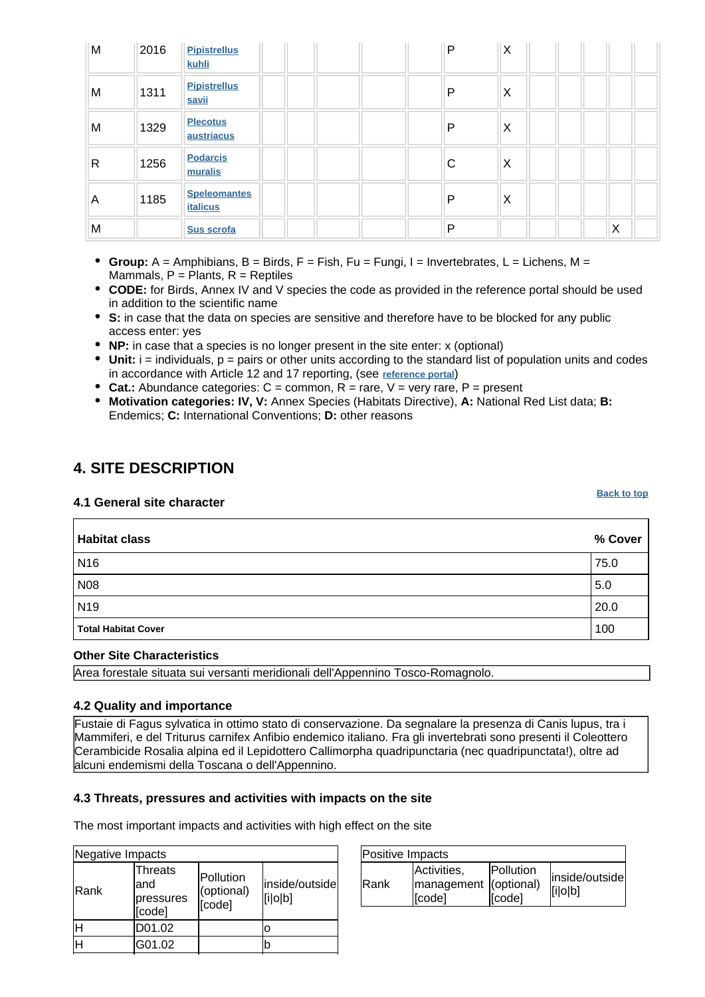| M | 2016 | <b>Pipistrellus</b><br>kuhli           | P |          | X |   |  |
|---|------|----------------------------------------|---|----------|---|---|--|
| М | 1311 | <b>Pipistrellus</b><br>savii           | P | ΙX       |   |   |  |
| M | 1329 | <b>Plecotus</b><br>austriacus          | P | $\times$ |   |   |  |
| R | 1256 | <b>Podarcis</b><br>muralis             |   | X<br>С   |   |   |  |
| A | 1185 | <b>Speleomantes</b><br><b>italicus</b> | P | $\times$ |   |   |  |
| M |      | Sus scrofa                             | P |          |   | X |  |

- **Group:** A = Amphibians, B = Birds, F = Fish, Fu = Fungi, I = Invertebrates, L = Lichens, M = Mammals,  $P =$  Plants,  $R =$  Reptiles
- **CODE:** for Birds, Annex IV and V species the code as provided in the reference portal should be used in addition to the scientific name
- **S:** in case that the data on species are sensitive and therefore have to be blocked for any public access enter: yes
- **NP:** in case that a species is no longer present in the site enter: x (optional)
- **Unit:** i = individuals, p = pairs or other units according to the standard list of population units and codes in accordance with Article 12 and 17 reporting, (see **[reference portal](http://bd.eionet.europa.eu/activities/Natura_2000/reference_portal)**)
- **Cat.:** Abundance categories:  $C =$  common,  $R =$  rare,  $V =$  very rare,  $P =$  present
- **Motivation categories: IV, V:** Annex Species (Habitats Directive), **A:** National Red List data; **B:** Endemics; **C:** International Conventions; **D:** other reasons

# <span id="page-3-0"></span>**4. SITE DESCRIPTION**

#### **4.1 General site character**

**Habitat class % Cover** N16 75.0 N08 5.0  $\,$  5.0  $\,$  5.0  $\,$  5.0  $\,$  5.0  $\,$  5.0  $\,$  5.0  $\,$  5.0  $\,$  5.0  $\,$  5.0  $\,$  5.0  $\,$  5.0  $\,$  5.0  $\,$  5.0  $\,$  5.0  $\,$  5.0  $\,$  5.0  $\,$  5.0  $\,$  5.0  $\,$  5.0  $\,$  5.0  $\,$  5.0  $\,$  5.0  $\,$  5.0  $\,$  5 N19 20.0 **Total Habitat Cover** 2008 **100** 

#### **Other Site Characteristics**

Area forestale situata sui versanti meridionali dell'Appennino Tosco-Romagnolo.

#### **4.2 Quality and importance**

Fustaie di Fagus sylvatica in ottimo stato di conservazione. Da segnalare la presenza di Canis lupus, tra i Mammiferi, e del Triturus carnifex Anfibio endemico italiano. Fra gli invertebrati sono presenti il Coleottero Cerambicide Rosalia alpina ed il Lepidottero Callimorpha quadripunctaria (nec quadripunctata!), oltre ad alcuni endemismi della Toscana o dell'Appennino.

#### **4.3 Threats, pressures and activities with impacts on the site**

The most important impacts and activities with high effect on the site

| Negative Impacts |                                             |                                   |                           |  |  |  |  |  |
|------------------|---------------------------------------------|-----------------------------------|---------------------------|--|--|--|--|--|
| <b>Rank</b>      | Threats<br>land<br>pressures<br>.<br>[code] | Pollution<br>(optional)<br>[code] | inside/outside<br>[i o b] |  |  |  |  |  |
|                  | D01.02                                      |                                   |                           |  |  |  |  |  |
|                  | G01.02                                      |                                   |                           |  |  |  |  |  |

| Positive Impacts |                                                |                     |                           |  |  |  |  |
|------------------|------------------------------------------------|---------------------|---------------------------|--|--|--|--|
| <b>IRank</b>     | Activities,<br>management (optional)<br>[code] | Pollution<br>[code] | inside/outside<br>[i o b] |  |  |  |  |

**[Back to top](#page-0-0)**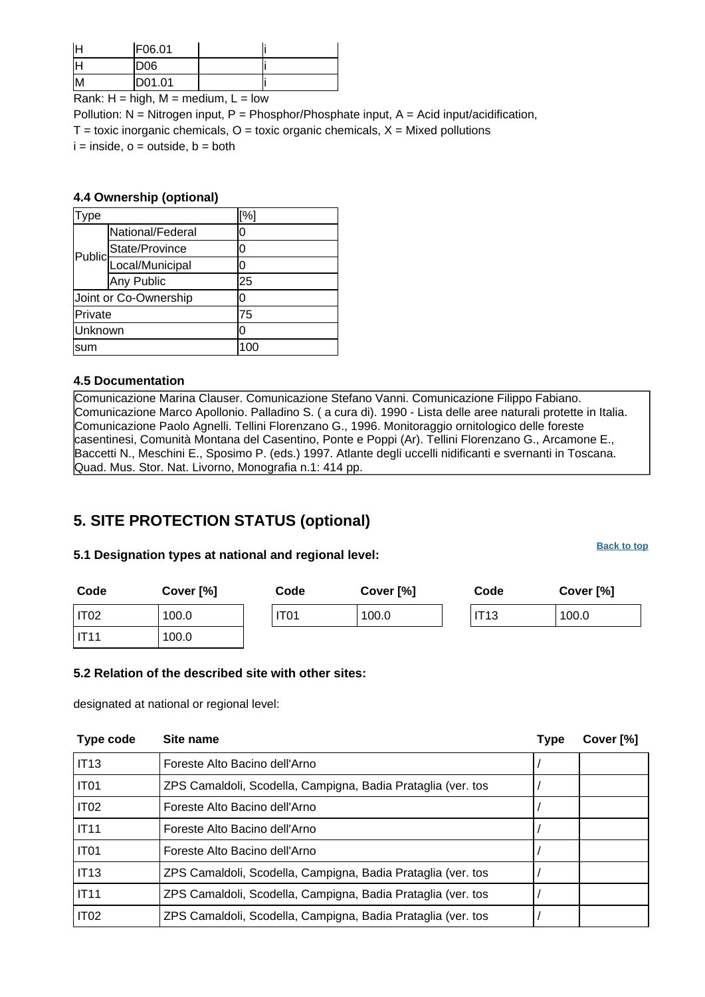|                 | F06.01          |  |
|-----------------|-----------------|--|
|                 | D <sub>06</sub> |  |
| IM <sub>I</sub> | D01.01          |  |

Rank:  $H = high$ ,  $M = medium$ ,  $L = low$ 

Pollution:  $N =$  Nitrogen input, P = Phosphor/Phosphate input, A = Acid input/acidification,  $T =$  toxic inorganic chemicals,  $O =$  toxic organic chemicals,  $X =$  Mixed pollutions  $i = inside, o = outside, b = both$ 

#### **4.4 Ownership (optional)**

| ype     |                        | [%] |
|---------|------------------------|-----|
|         | National/Federal       | 0   |
|         | State/Province         | 0   |
|         | Public Local/Municipal | 0   |
|         | Any Public             | 25  |
|         | Joint or Co-Ownership  | 0   |
| Private |                        | 75  |
| Unknown |                        | 0   |
| sum     |                        | 100 |

#### **4.5 Documentation**

Comunicazione Marina Clauser. Comunicazione Stefano Vanni. Comunicazione Filippo Fabiano. Comunicazione Marco Apollonio. Palladino S. ( a cura di). 1990 - Lista delle aree naturali protette in Italia. Comunicazione Paolo Agnelli. Tellini Florenzano G., 1996. Monitoraggio ornitologico delle foreste casentinesi, Comunità Montana del Casentino, Ponte e Poppi (Ar). Tellini Florenzano G., Arcamone E., Baccetti N., Meschini E., Sposimo P. (eds.) 1997. Atlante degli uccelli nidificanti e svernanti in Toscana. Quad. Mus. Stor. Nat. Livorno, Monografia n.1: 414 pp.

# <span id="page-4-0"></span>**5. SITE PROTECTION STATUS (optional)**

#### **5.1 Designation types at national and regional level:**

**[Back to top](#page-0-0)**

| Code         | Cover [%] | Code             | Cover [%] | Code | Cover [%] |
|--------------|-----------|------------------|-----------|------|-----------|
| IT02         | 100.0     | IT <sub>01</sub> | 100.0     | IT13 | 100.0     |
| <b>IIT11</b> | 100.0     |                  |           |      |           |

### **5.2 Relation of the described site with other sites:**

designated at national or regional level:

<span id="page-4-1"></span>

| Type code        | Site name                                                    | <b>Type</b> | Cover [%] |
|------------------|--------------------------------------------------------------|-------------|-----------|
| IT <sub>13</sub> | Foreste Alto Bacino dell'Arno                                |             |           |
| IT <sub>01</sub> | ZPS Camaldoli, Scodella, Campigna, Badia Prataglia (ver. tos |             |           |
| IT <sub>02</sub> | Foreste Alto Bacino dell'Arno                                |             |           |
| <b>IT11</b>      | Foreste Alto Bacino dell'Arno                                |             |           |
| IT <sub>01</sub> | Foreste Alto Bacino dell'Arno                                |             |           |
| <b>IT13</b>      | ZPS Camaldoli, Scodella, Campigna, Badia Prataglia (ver. tos |             |           |
| <b>IT11</b>      | ZPS Camaldoli, Scodella, Campigna, Badia Prataglia (ver. tos |             |           |
| IT <sub>02</sub> | ZPS Camaldoli, Scodella, Campigna, Badia Prataglia (ver. tos |             |           |